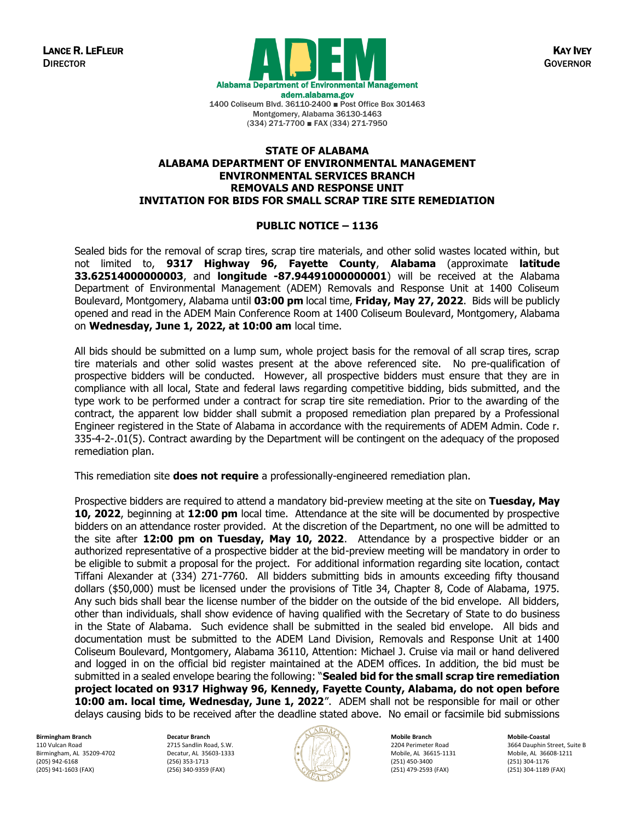

## **STATE OF ALABAMA ALABAMA DEPARTMENT OF ENVIRONMENTAL MANAGEMENT ENVIRONMENTAL SERVICES BRANCH REMOVALS AND RESPONSE UNIT INVITATION FOR BIDS FOR SMALL SCRAP TIRE SITE REMEDIATION**

## **PUBLIC NOTICE – 1136**

Sealed bids for the removal of scrap tires, scrap tire materials, and other solid wastes located within, but not limited to, **9317 Highway 96, Fayette County**, **Alabama** (approximate **latitude 33.62514000000003**, and **longitude -87.94491000000001**) will be received at the Alabama Department of Environmental Management (ADEM) Removals and Response Unit at 1400 Coliseum Boulevard, Montgomery, Alabama until **03:00 pm** local time, **Friday, May 27, 2022**. Bids will be publicly opened and read in the ADEM Main Conference Room at 1400 Coliseum Boulevard, Montgomery, Alabama on **Wednesday, June 1, 2022, at 10:00 am** local time.

All bids should be submitted on a lump sum, whole project basis for the removal of all scrap tires, scrap tire materials and other solid wastes present at the above referenced site. No pre-qualification of prospective bidders will be conducted. However, all prospective bidders must ensure that they are in compliance with all local, State and federal laws regarding competitive bidding, bids submitted, and the type work to be performed under a contract for scrap tire site remediation. Prior to the awarding of the contract, the apparent low bidder shall submit a proposed remediation plan prepared by a Professional Engineer registered in the State of Alabama in accordance with the requirements of ADEM Admin. Code r. 335-4-2-.01(5). Contract awarding by the Department will be contingent on the adequacy of the proposed remediation plan.

This remediation site **does not require** a professionally-engineered remediation plan.

Prospective bidders are required to attend a mandatory bid-preview meeting at the site on **Tuesday, May 10, 2022**, beginning at **12:00 pm** local time. Attendance at the site will be documented by prospective bidders on an attendance roster provided. At the discretion of the Department, no one will be admitted to the site after **12:00 pm on Tuesday, May 10, 2022**. Attendance by a prospective bidder or an authorized representative of a prospective bidder at the bid-preview meeting will be mandatory in order to be eligible to submit a proposal for the project. For additional information regarding site location, contact Tiffani Alexander at (334) 271-7760. All bidders submitting bids in amounts exceeding fifty thousand dollars (\$50,000) must be licensed under the provisions of Title 34, Chapter 8, Code of Alabama, 1975. Any such bids shall bear the license number of the bidder on the outside of the bid envelope. All bidders, other than individuals, shall show evidence of having qualified with the Secretary of State to do business in the State of Alabama. Such evidence shall be submitted in the sealed bid envelope. All bids and documentation must be submitted to the ADEM Land Division, Removals and Response Unit at 1400 Coliseum Boulevard, Montgomery, Alabama 36110, Attention: Michael J. Cruise via mail or hand delivered and logged in on the official bid register maintained at the ADEM offices. In addition, the bid must be submitted in a sealed envelope bearing the following: "**Sealed bid for the small scrap tire remediation project located on 9317 Highway 96, Kennedy, Fayette County, Alabama, do not open before 10:00 am. local time, Wednesday, June 1, 2022**". ADEM shall not be responsible for mail or other delays causing bids to be received after the deadline stated above. No email or facsimile bid submissions

**Birmingham Branch** 110 Vulcan Road Birmingham, AL 35209-4702 (205) 942-6168 (205) 941-1603 (FAX)

**Decatur Branch** 2715 Sandlin Road, S.W. Decatur, AL 35603-1333 (256) 353-1713 (256) 340-9359 (FAX)



**Mobile Branch** 2204 Perimeter Road Mobile, AL 36615-1131 (251) 450-3400 (251) 479-2593 (FAX)

**Mobile-Coastal**

3664 Dauphin Street, Suite B Mobile, AL 36608-1211 (251) 304-1176 (251) 304-1189 (FAX)